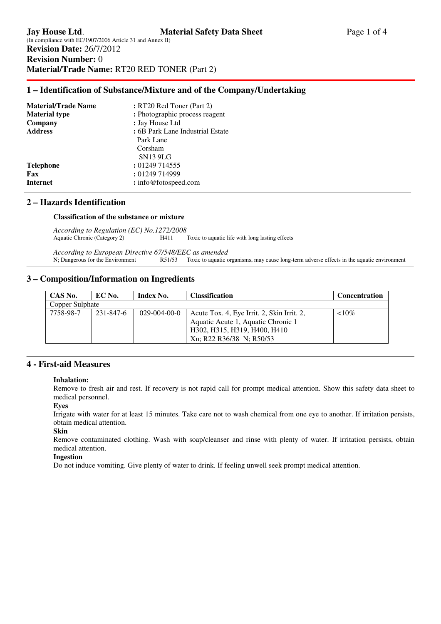# **1 – Identification of Substance/Mixture and of the Company/Undertaking**

| <b>Material/Trade Name</b> | : RT20 Red Toner (Part 2)        |
|----------------------------|----------------------------------|
| <b>Material type</b>       | : Photographic process reagent   |
| Company                    | : Jay House Ltd                  |
| <b>Address</b>             | : 6B Park Lane Industrial Estate |
|                            | Park Lane                        |
|                            | Corsham                          |
|                            | <b>SN13 9LG</b>                  |
| <b>Telephone</b>           | : 01249 714555                   |
| Fax                        | : 01249 714999                   |
| Internet                   | : info@fotospeed.com             |
|                            |                                  |

## **2 – Hazards Identification**

### **Classification of the substance or mixture**

*According to Regulation (EC) No.1272/2008*  H411 Toxic to aquatic life with long lasting effects

*According to European Directive 67/548/EEC as amended*  N; Dangerous for the Environment R51/53 Toxic to aquatic organisms, may cause long-term adverse effects in the aquatic environment

# **3 – Composition/Information on Ingredients**

| CAS No.         | EC No.    | Index No.            | <b>Classification</b>                      | <b>Concentration</b> |
|-----------------|-----------|----------------------|--------------------------------------------|----------------------|
| Copper Sulphate |           |                      |                                            |                      |
| 7758-98-7       | 231-847-6 | $029 - 004 - 00 - 0$ | Acute Tox. 4, Eye Irrit. 2, Skin Irrit. 2, | ${<}10\%$            |
|                 |           |                      | Aquatic Acute 1, Aquatic Chronic 1         |                      |
|                 |           |                      | H302, H315, H319, H400, H410               |                      |
|                 |           |                      | Xn; R22 R36/38 N; R50/53                   |                      |

## **4 - First-aid Measures**

### **Inhalation:**

Remove to fresh air and rest. If recovery is not rapid call for prompt medical attention. Show this safety data sheet to medical personnel.

### **Eyes**

Irrigate with water for at least 15 minutes. Take care not to wash chemical from one eye to another. If irritation persists, obtain medical attention.

## **Skin**

Remove contaminated clothing. Wash with soap/cleanser and rinse with plenty of water. If irritation persists, obtain medical attention.

### **Ingestion**

Do not induce vomiting. Give plenty of water to drink. If feeling unwell seek prompt medical attention.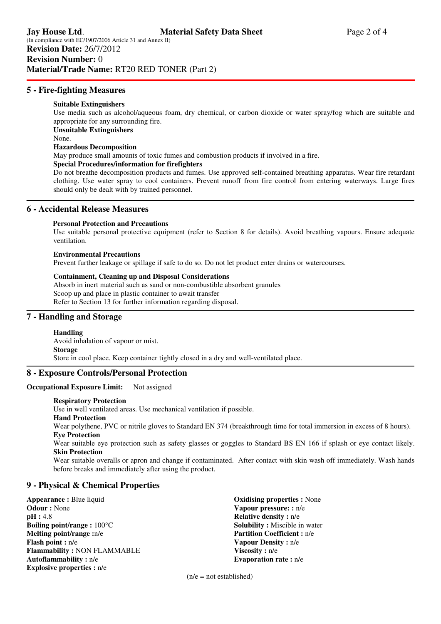## **5 - Fire-fighting Measures**

### **Suitable Extinguishers**

Use media such as alcohol/aqueous foam, dry chemical, or carbon dioxide or water spray/fog which are suitable and appropriate for any surrounding fire. **Unsuitable Extinguishers** 

None.

### **Hazardous Decomposition**

May produce small amounts of toxic fumes and combustion products if involved in a fire.

### **Special Procedures/information for firefighters**

Do not breathe decomposition products and fumes. Use approved self-contained breathing apparatus. Wear fire retardant clothing. Use water spray to cool containers. Prevent runoff from fire control from entering waterways. Large fires should only be dealt with by trained personnel.

# **6 - Accidental Release Measures**

### **Personal Protection and Precautions**

 Use suitable personal protective equipment (refer to Section 8 for details). Avoid breathing vapours. Ensure adequate ventilation.

#### **Environmental Precautions**

Prevent further leakage or spillage if safe to do so. Do not let product enter drains or watercourses.

### **Containment, Cleaning up and Disposal Considerations**

Absorb in inert material such as sand or non-combustible absorbent granules Scoop up and place in plastic container to await transfer Refer to Section 13 for further information regarding disposal.

## **7 - Handling and Storage**

## **Handling**

Avoid inhalation of vapour or mist. **Storage**  Store in cool place. Keep container tightly closed in a dry and well-ventilated place.

### **8 - Exposure Controls/Personal Protection**

## **Occupational Exposure Limit:** Not assigned

### **Respiratory Protection**

Use in well ventilated areas. Use mechanical ventilation if possible.

**Hand Protection** 

Wear polythene, PVC or nitrile gloves to Standard EN 374 (breakthrough time for total immersion in excess of 8 hours). **Eye Protection** 

Wear suitable eye protection such as safety glasses or goggles to Standard BS EN 166 if splash or eye contact likely. **Skin Protection** 

Wear suitable overalls or apron and change if contaminated. After contact with skin wash off immediately. Wash hands before breaks and immediately after using the product.

# **9 - Physical & Chemical Properties**

**Appearance :** Blue liquid **Odour :** None **pH :** 4.8 **Boiling point/range :** 100°C **Melting point/range :**n/e **Flash point :** n/e **Flammability :** NON FLAMMABLE **Autoflammability :** n/e **Explosive properties :** n/e

**Oxidising properties :** None **Vapour pressure: :** n/e **Relative density :** n/e **Solubility :** Miscible in water **Partition Coefficient :** n/e **Vapour Density :** n/e **Viscosity :** n/e **Evaporation rate :** n/e

 $(n/e = not established)$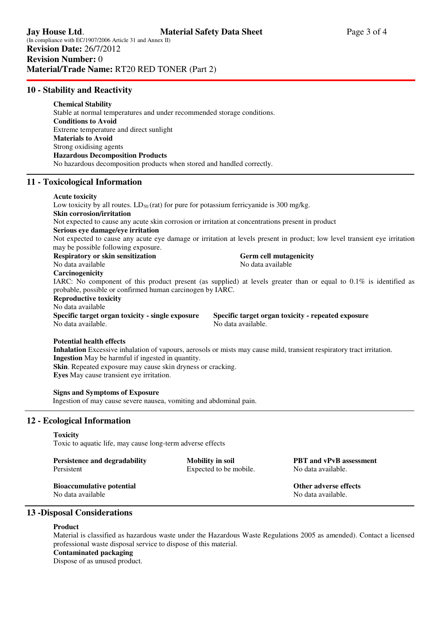## **10 - Stability and Reactivity**

## **Chemical Stability**

 Stable at normal temperatures and under recommended storage conditions. **Conditions to Avoid**  Extreme temperature and direct sunlight **Materials to Avoid**  Strong oxidising agents **Hazardous Decomposition Products**  No hazardous decomposition products when stored and handled correctly.

# **11 - Toxicological Information**

#### **Acute toxicity**

Low toxicity by all routes.  $LD_{50}$  (rat) for pure for potassium ferricyanide is 300 mg/kg. **Skin corrosion/irritation**  Not expected to cause any acute skin corrosion or irritation at concentrations present in product **Serious eye damage/eye irritation**  Not expected to cause any acute eye damage or irritation at levels present in product; low level transient eye irritation may be possible following exposure. **Respiratory or skin sensitization** Germ cell mutagenicity<br>
No data available<br>
No data available No data available **Carcinogenicity**  IARC: No component of this product present (as supplied) at levels greater than or equal to  $0.1\%$  is identified as probable, possible or confirmed human carcinogen by IARC. **Reproductive toxicity**  No data available **Specific target organ toxicity - single exposure Specific target organ toxicity - repeated exposure**  No data available. No data available. **Potential health effects** 

**Inhalation** Excessive inhalation of vapours, aerosols or mists may cause mild, transient respiratory tract irritation. **Ingestion** May be harmful if ingested in quantity. **Skin**. Repeated exposure may cause skin dryness or cracking.

**Eyes** May cause transient eye irritation.

### **Signs and Symptoms of Exposure**

Ingestion of may cause severe nausea, vomiting and abdominal pain.

## **12 - Ecological Information**

### **Toxicity**

Toxic to aquatic life, may cause long-term adverse effects

| Persistence and degradability    | Mobility in soil       | <b>PBT</b> and vPvB assessment |
|----------------------------------|------------------------|--------------------------------|
| Persistent                       | Expected to be mobile. | No data available.             |
| <b>Bioaccumulative potential</b> |                        | Other adverse effects          |

No data available No data available.

# **13 -Disposal Considerations**

### **Product**

Material is classified as hazardous waste under the Hazardous Waste Regulations 2005 as amended). Contact a licensed professional waste disposal service to dispose of this material.

## **Contaminated packaging**

Dispose of as unused product.